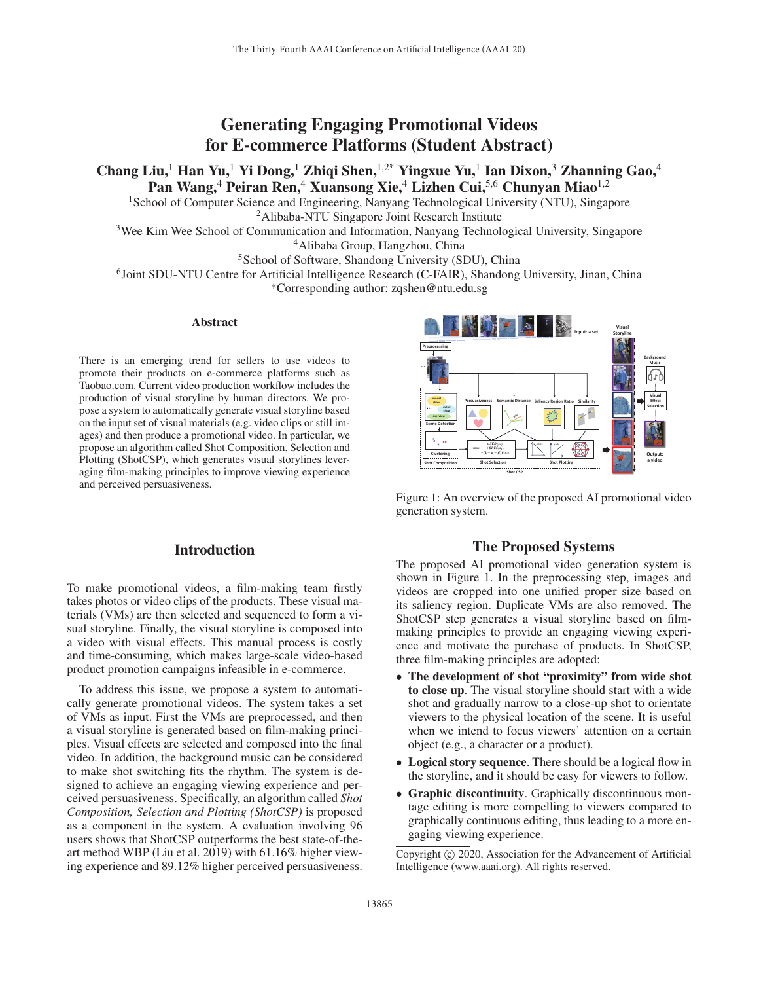# Generating Engaging Promotional Videos for E-commerce Platforms (Student Abstract)

Chang Liu,<sup>1</sup> Han Yu,<sup>1</sup> Yi Dong,<sup>1</sup> Zhiqi Shen,<sup>1,2\*</sup> Yingxue Yu,<sup>1</sup> Ian Dixon,<sup>3</sup> Zhanning Gao,<sup>4</sup> Pan Wang,<sup>4</sup> Peiran Ren,<sup>4</sup> Xuansong Xie,<sup>4</sup> Lizhen Cui,<sup>5,6</sup> Chunyan Miao<sup>1,2</sup>

<sup>1</sup>School of Computer Science and Engineering, Nanyang Technological University (NTU), Singapore 2Alibaba-NTU Singapore Joint Research Institute

<sup>3</sup>Wee Kim Wee School of Communication and Information, Nanyang Technological University, Singapore 4Alibaba Group, Hangzhou, China

<sup>5</sup>School of Software, Shandong University (SDU), China

<sup>6</sup>Joint SDU-NTU Centre for Artificial Intelligence Research (C-FAIR), Shandong University, Jinan, China

\*Corresponding author: zqshen@ntu.edu.sg

### Abstract

There is an emerging trend for sellers to use videos to promote their products on e-commerce platforms such as Taobao.com. Current video production workflow includes the production of visual storyline by human directors. We propose a system to automatically generate visual storyline based on the input set of visual materials (e.g. video clips or still images) and then produce a promotional video. In particular, we propose an algorithm called Shot Composition, Selection and Plotting (ShotCSP), which generates visual storylines leveraging film-making principles to improve viewing experience and perceived persuasiveness.

# Introduction

To make promotional videos, a film-making team firstly takes photos or video clips of the products. These visual materials (VMs) are then selected and sequenced to form a visual storyline. Finally, the visual storyline is composed into a video with visual effects. This manual process is costly and time-consuming, which makes large-scale video-based product promotion campaigns infeasible in e-commerce.

To address this issue, we propose a system to automatically generate promotional videos. The system takes a set of VMs as input. First the VMs are preprocessed, and then a visual storyline is generated based on film-making principles. Visual effects are selected and composed into the final video. In addition, the background music can be considered to make shot switching fits the rhythm. The system is designed to achieve an engaging viewing experience and perceived persuasiveness. Specifically, an algorithm called *Shot Composition, Selection and Plotting (ShotCSP)* is proposed as a component in the system. A evaluation involving 96 users shows that ShotCSP outperforms the best state-of-theart method WBP (Liu et al. 2019) with 61.16% higher viewing experience and 89.12% higher perceived persuasiveness.



Figure 1: An overview of the proposed AI promotional video generation system.

## The Proposed Systems

The proposed AI promotional video generation system is shown in Figure 1. In the preprocessing step, images and videos are cropped into one unified proper size based on its saliency region. Duplicate VMs are also removed. The ShotCSP step generates a visual storyline based on filmmaking principles to provide an engaging viewing experience and motivate the purchase of products. In ShotCSP, three film-making principles are adopted:

- The development of shot "proximity" from wide shot to close up. The visual storyline should start with a wide shot and gradually narrow to a close-up shot to orientate viewers to the physical location of the scene. It is useful when we intend to focus viewers' attention on a certain object (e.g., a character or a product).
- Logical story sequence. There should be a logical flow in the storyline, and it should be easy for viewers to follow.
- Graphic discontinuity. Graphically discontinuous montage editing is more compelling to viewers compared to graphically continuous editing, thus leading to a more engaging viewing experience.

Copyright  $\odot$  2020, Association for the Advancement of Artificial Intelligence (www.aaai.org). All rights reserved.